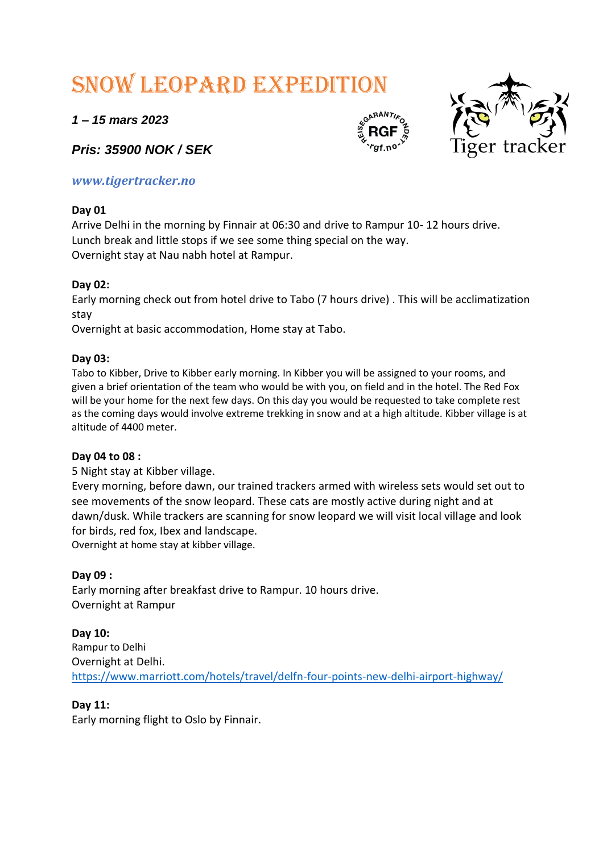# Snow leopard expedition

*1 – 15 mars 2023*

*Pris: 35900 NOK / SEK*

## *www.tigertracker.no*

## **Day 01**

Arrive Delhi in the morning by Finnair at 06:30 and drive to Rampur 10- 12 hours drive. Lunch break and little stops if we see some thing special on the way. Overnight stay at Nau nabh hotel at Rampur.

## **Day 02:**

Early morning check out from hotel drive to Tabo (7 hours drive) . This will be acclimatization stay

Overnight at basic accommodation, Home stay at Tabo.

## **Day 03:**

Tabo to Kibber, Drive to Kibber early morning. In Kibber you will be assigned to your rooms, and given a brief orientation of the team who would be with you, on field and in the hotel. The Red Fox will be your home for the next few days. On this day you would be requested to take complete rest as the coming days would involve extreme trekking in snow and at a high altitude. Kibber village is at altitude of 4400 meter.

## **Day 04 to 08 :**

5 Night stay at Kibber village.

Every morning, before dawn, our trained trackers armed with wireless sets would set out to see movements of the snow leopard. These cats are mostly active during night and at dawn/dusk. While trackers are scanning for snow leopard we will visit local village and look for birds, red fox, Ibex and landscape. Overnight at home stay at kibber village.

## **Day 09 :**

Early morning after breakfast drive to Rampur. 10 hours drive. Overnight at Rampur

**Day 10:** Rampur to Delhi Overnight at Delhi. <https://www.marriott.com/hotels/travel/delfn-four-points-new-delhi-airport-highway/>

## **Day 11:**

Early morning flight to Oslo by Finnair.